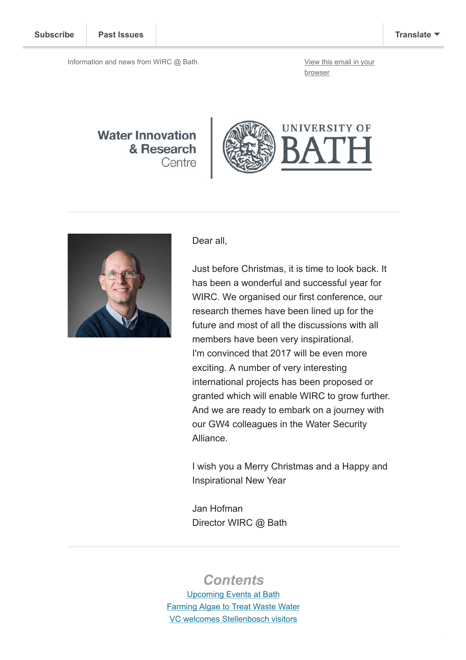Information and news from WIRC @ Bath. [View this email in your](https://us12.campaign-archive.com/?e=[UNIQID]&u=d7614ea34eb388bb6f0caa07a&id=3d1144824e)

browser

### **Water Innovation** & Research Centre





Dear all,

Just before Christmas, it is time to look back. It has been a wonderful and successful year for WIRC. We organised our first conference, our research themes have been lined up for the future and most of all the discussions with all members have been very inspirational. I'm convinced that 2017 will be even more exciting. A number of very interesting international projects has been proposed or granted which will enable WIRC to grow further. And we are ready to embark on a journey with our GW4 colleagues in the Water Security Alliance.

I wish you a Merry Christmas and a Happy and Inspirational New Year

Jan Hofman Director WIRC @ Bath

## **Contents**

[Upcoming Events at Bath](#page-1-0) [Farming Algae to Treat Waste Water](#page-1-1) [VC welcomes Stellenbosch visitors](#page-3-0)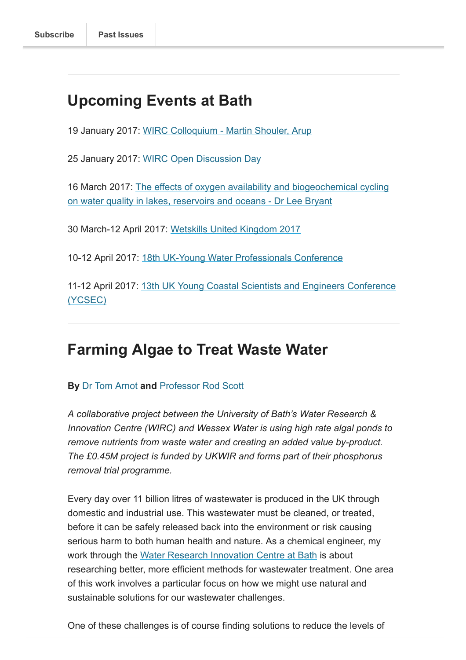# <span id="page-1-0"></span>Upcoming Events at Bath

19 January 2017: [WIRC Colloquium - Martin Shouler, Arup](http://www.bath.ac.uk/research/centres/wirc/events/martin_shouler.html)

25 January 2017: [WIRC Open Discussion Day](https://cms.bath.ac.uk/research/centres/wirc/events/wirc_open_meeting_16)

[16 March 2017: The effects of oxygen availability and biogeochemical cycling](https://cms.bath.ac.uk/research/centres/wirc/events/wirc_open_meeting_16) on water quality in lakes, reservoirs and oceans - Dr Lee Bryant

30 March-12 April 2017: [Wetskills United Kingdom 2017](http://wetskills.com/event/wetskills-united-kingdom-2017/)

10-12 April 2017: [18th UK-Young Water Professionals Conference](http://www.bath.ac.uk/research/centres/wirc/events/ywp.html)

[11-12 April 2017: 13th UK Young Coastal Scientists and Engineers Conference](https://cms.bath.ac.uk/research/centres/wirc/events/ycsec2017.html) (YCSEC)

## <span id="page-1-1"></span>Farming Algae to Treat Waste Water

#### By [Dr Tom Arnot](http://www.bath.ac.uk/chem-eng/people/arnot/) and Professor Rod Scott

A collaborative project between the University of Bath's Water Research & Innovation Centre (WIRC) and Wessex Water is using high rate algal ponds to remove nutrients from waste water and creating an added value by-product. The £0.45M project is funded by UKWIR and forms part of their phosphorus removal trial programme.

Every day over 11 billion litres of wastewater is produced in the UK through domestic and industrial use. This wastewater must be cleaned, or treated, before it can be safely released back into the environment or risk causing serious harm to both human health and nature. As a chemical engineer, my work through the [Water Research Innovation Centre at Bath](http://www.bath.ac.uk/research/centres/wirc/) is about researching better, more efficient methods for wastewater treatment. One area of this work involves a particular focus on how we might use natural and sustainable solutions for our wastewater challenges.

One of these challenges is of course finding solutions to reduce the levels of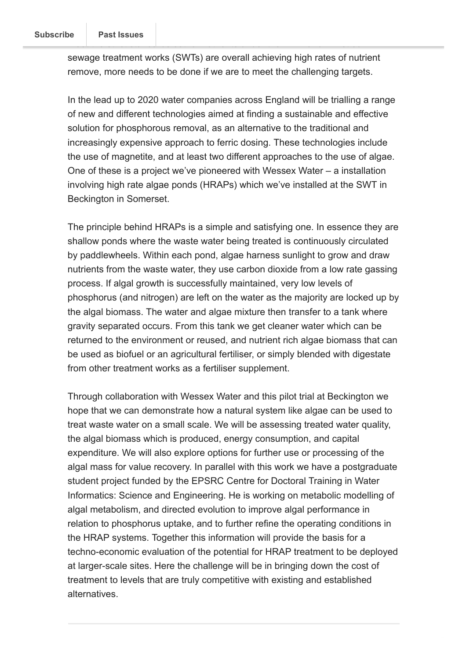sewage treatment works (SWTs) are overall achieving high rates of nutrient remove, more needs to be done if we are to meet the challenging targets.

In the lead up to 2020 water companies across England will be trialling a range of new and different technologies aimed at finding a sustainable and effective solution for phosphorous removal, as an alternative to the traditional and increasingly expensive approach to ferric dosing. These technologies include the use of magnetite, and at least two different approaches to the use of algae. One of these is a project we've pioneered with Wessex Water – a installation involving high rate algae ponds (HRAPs) which we've installed at the SWT in Beckington in Somerset.

The principle behind HRAPs is a simple and satisfying one. In essence they are shallow ponds where the waste water being treated is continuously circulated by paddlewheels. Within each pond, algae harness sunlight to grow and draw nutrients from the waste water, they use carbon dioxide from a low rate gassing process. If algal growth is successfully maintained, very low levels of phosphorus (and nitrogen) are left on the water as the majority are locked up by the algal biomass. The water and algae mixture then transfer to a tank where gravity separated occurs. From this tank we get cleaner water which can be returned to the environment or reused, and nutrient rich algae biomass that can be used as biofuel or an agricultural fertiliser, or simply blended with digestate from other treatment works as a fertiliser supplement.

Through collaboration with Wessex Water and this pilot trial at Beckington we hope that we can demonstrate how a natural system like algae can be used to treat waste water on a small scale. We will be assessing treated water quality, the algal biomass which is produced, energy consumption, and capital expenditure. We will also explore options for further use or processing of the algal mass for value recovery. In parallel with this work we have a postgraduate student project funded by the EPSRC Centre for Doctoral Training in Water Informatics: Science and Engineering. He is working on metabolic modelling of algal metabolism, and directed evolution to improve algal performance in relation to phosphorus uptake, and to further refine the operating conditions in the HRAP systems. Together this information will provide the basis for a techno-economic evaluation of the potential for HRAP treatment to be deployed at larger-scale sites. Here the challenge will be in bringing down the cost of treatment to levels that are truly competitive with existing and established alternatives.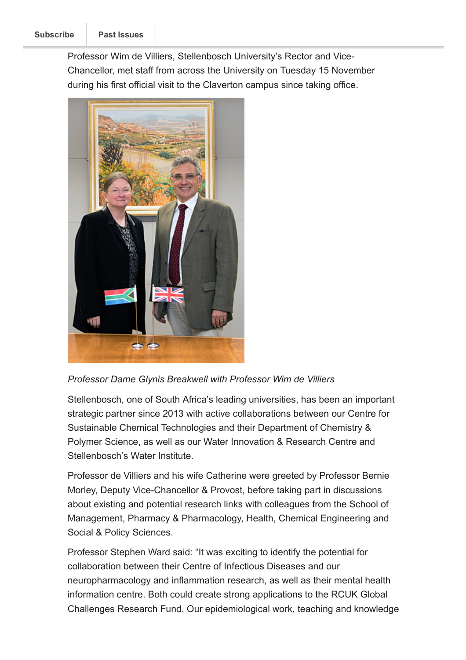<span id="page-3-0"></span>Professor Wim de Villiers, Stellenbosch University's Rector and Vice-Chancellor, met staff from across the University on Tuesday 15 November during his first official visit to the Claverton campus since taking office.



Professor Dame Glynis Breakwell with Professor Wim de Villiers

Stellenbosch, one of South Africa's leading universities, has been an important strategic partner since 2013 with active collaborations between our Centre for Sustainable Chemical Technologies and their Department of Chemistry & Polymer Science, as well as our Water Innovation & Research Centre and Stellenbosch's Water Institute.

Professor de Villiers and his wife Catherine were greeted by Professor Bernie Morley, Deputy Vice-Chancellor & Provost, before taking part in discussions about existing and potential research links with colleagues from the School of Management, Pharmacy & Pharmacology, Health, Chemical Engineering and Social & Policy Sciences.

Professor Stephen Ward said: "It was exciting to identify the potential for collaboration between their Centre of Infectious Diseases and our neuropharmacology and inflammation research, as well as their mental health information centre. Both could create strong applications to the RCUK Global Challenges Research Fund. Our epidemiological work, teaching and knowledge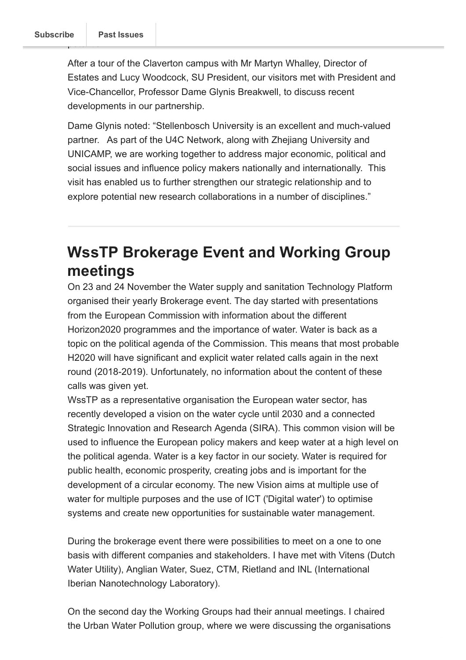After a tour of the Claverton campus with Mr Martyn Whalley, Director of Estates and Lucy Woodcock, SU President, our visitors met with President and Vice-Chancellor, Professor Dame Glynis Breakwell, to discuss recent developments in our partnership.

Dame Glynis noted: "Stellenbosch University is an excellent and much-valued partner. As part of the U4C Network, along with Zhejiang University and UNICAMP, we are working together to address major economic, political and social issues and influence policy makers nationally and internationally. This visit has enabled us to further strengthen our strategic relationship and to explore potential new research collaborations in a number of disciplines."

# <span id="page-4-0"></span>WssTP Brokerage Event and Working Group meetings

On 23 and 24 November the Water supply and sanitation Technology Platform organised their yearly Brokerage event. The day started with presentations from the European Commission with information about the different Horizon2020 programmes and the importance of water. Water is back as a topic on the political agenda of the Commission. This means that most probable H2020 will have significant and explicit water related calls again in the next round (2018-2019). Unfortunately, no information about the content of these calls was given yet.

WssTP as a representative organisation the European water sector, has recently developed a vision on the water cycle until 2030 and a connected Strategic Innovation and Research Agenda (SIRA). This common vision will be used to influence the European policy makers and keep water at a high level on the political agenda. Water is a key factor in our society. Water is required for public health, economic prosperity, creating jobs and is important for the development of a circular economy. The new Vision aims at multiple use of water for multiple purposes and the use of ICT ('Digital water') to optimise systems and create new opportunities for sustainable water management.

During the brokerage event there were possibilities to meet on a one to one basis with different companies and stakeholders. I have met with Vitens (Dutch Water Utility), Anglian Water, Suez, CTM, Rietland and INL (International Iberian Nanotechnology Laboratory).

On the second day the Working Groups had their annual meetings. I chaired the Urban Water Pollution group, where we were discussing the organisations